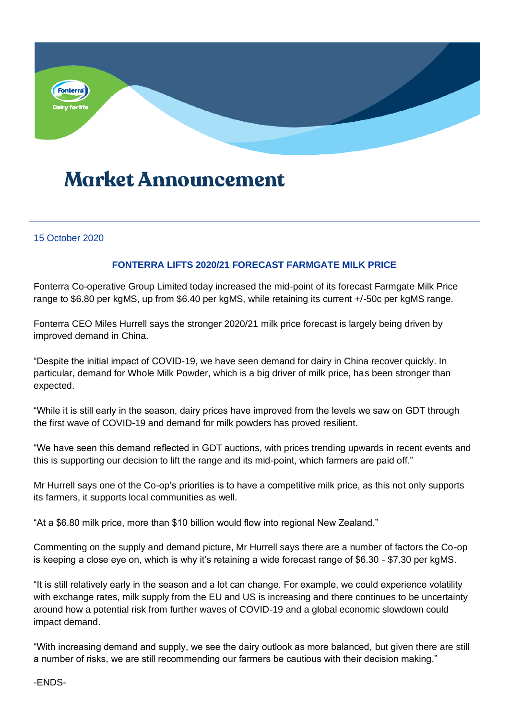

## **Market Announcement**

## 15 October 2020

## **FONTERRA LIFTS 2020/21 FORECAST FARMGATE MILK PRICE**

Fonterra Co-operative Group Limited today increased the mid-point of its forecast Farmgate Milk Price range to \$6.80 per kgMS, up from \$6.40 per kgMS, while retaining its current +/-50c per kgMS range.

Fonterra CEO Miles Hurrell says the stronger 2020/21 milk price forecast is largely being driven by improved demand in China.

"Despite the initial impact of COVID-19, we have seen demand for dairy in China recover quickly. In particular, demand for Whole Milk Powder, which is a big driver of milk price, has been stronger than expected.

"While it is still early in the season, dairy prices have improved from the levels we saw on GDT through the first wave of COVID-19 and demand for milk powders has proved resilient.

"We have seen this demand reflected in GDT auctions, with prices trending upwards in recent events and this is supporting our decision to lift the range and its mid-point, which farmers are paid off."

Mr Hurrell says one of the Co-op's priorities is to have a competitive milk price, as this not only supports its farmers, it supports local communities as well.

"At a \$6.80 milk price, more than \$10 billion would flow into regional New Zealand."

Commenting on the supply and demand picture, Mr Hurrell says there are a number of factors the Co-op is keeping a close eye on, which is why it's retaining a wide forecast range of \$6.30 - \$7.30 per kgMS.

"It is still relatively early in the season and a lot can change. For example, we could experience volatility with exchange rates, milk supply from the EU and US is increasing and there continues to be uncertainty around how a potential risk from further waves of COVID-19 and a global economic slowdown could impact demand.

"With increasing demand and supply, we see the dairy outlook as more balanced, but given there are still a number of risks, we are still recommending our farmers be cautious with their decision making."

-ENDS-